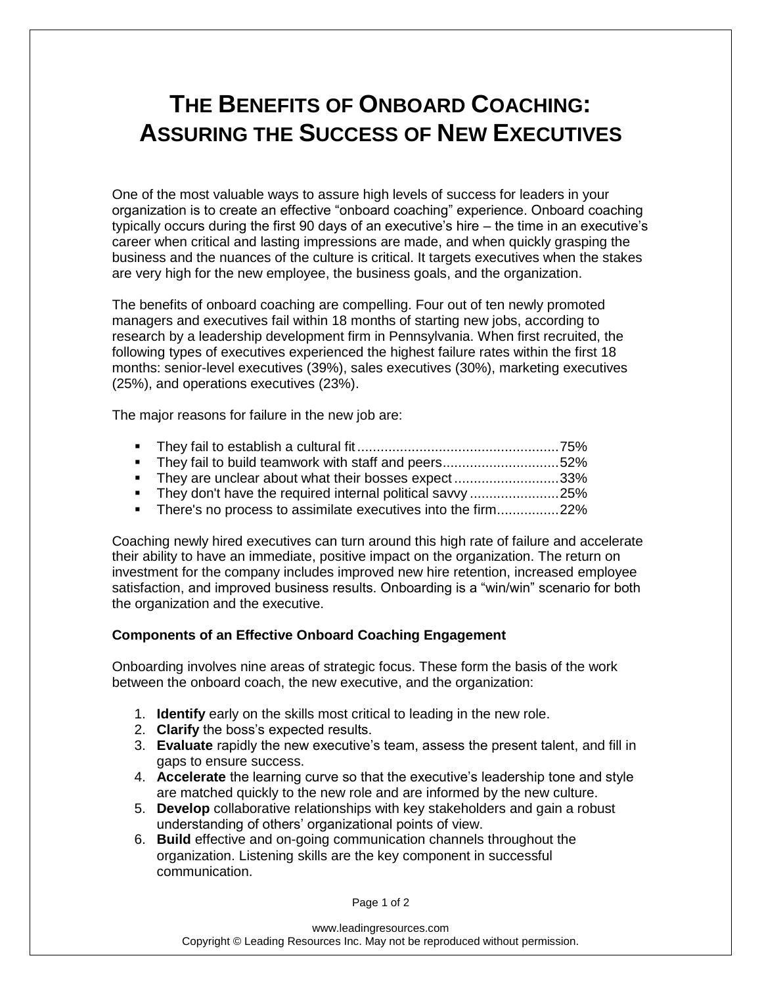## **THE BENEFITS OF ONBOARD COACHING: ASSURING THE SUCCESS OF NEW EXECUTIVES**

One of the most valuable ways to assure high levels of success for leaders in your organization is to create an effective "onboard coaching" experience. Onboard coaching typically occurs during the first 90 days of an executive's hire – the time in an executive's career when critical and lasting impressions are made, and when quickly grasping the business and the nuances of the culture is critical. It targets executives when the stakes are very high for the new employee, the business goals, and the organization.

The benefits of onboard coaching are compelling. Four out of ten newly promoted managers and executives fail within 18 months of starting new jobs, according to research by a leadership development firm in Pennsylvania. When first recruited, the following types of executives experienced the highest failure rates within the first 18 months: senior-level executives (39%), sales executives (30%), marketing executives (25%), and operations executives (23%).

The major reasons for failure in the new job are:

- They fail to establish a cultural fit ....................................................75%
- They fail to build teamwork with staff and peers...............................52%
- They are unclear about what their bosses expect...........................33%
- They don't have the required internal political savvy .........................25%
- There's no process to assimilate executives into the firm................22%

Coaching newly hired executives can turn around this high rate of failure and accelerate their ability to have an immediate, positive impact on the organization. The return on investment for the company includes improved new hire retention, increased employee satisfaction, and improved business results. Onboarding is a "win/win" scenario for both the organization and the executive.

## **Components of an Effective Onboard Coaching Engagement**

Onboarding involves nine areas of strategic focus. These form the basis of the work between the onboard coach, the new executive, and the organization:

- 1. **Identify** early on the skills most critical to leading in the new role.
- 2. **Clarify** the boss's expected results.
- 3. **Evaluate** rapidly the new executive's team, assess the present talent, and fill in gaps to ensure success.
- 4. **Accelerate** the learning curve so that the executive's leadership tone and style are matched quickly to the new role and are informed by the new culture.
- 5. **Develop** collaborative relationships with key stakeholders and gain a robust understanding of others' organizational points of view.
- 6. **Build** effective and on-going communication channels throughout the organization. Listening skills are the key component in successful communication.

Page 1 of 2

www.leadingresources.com Copyright © Leading Resources Inc. May not be reproduced without permission.